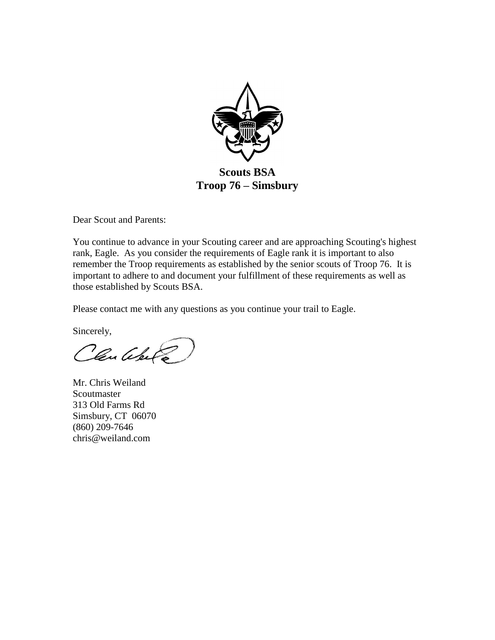

Dear Scout and Parents:

You continue to advance in your Scouting career and are approaching Scouting's highest rank, Eagle. As you consider the requirements of Eagle rank it is important to also remember the Troop requirements as established by the senior scouts of Troop 76. It is important to adhere to and document your fulfillment of these requirements as well as those established by Scouts BSA.

Please contact me with any questions as you continue your trail to Eagle.

Sincerely,

Claudelle

Mr. Chris Weiland Scoutmaster 313 Old Farms Rd Simsbury, CT 06070 (860) 209-7646 chris@weiland.com